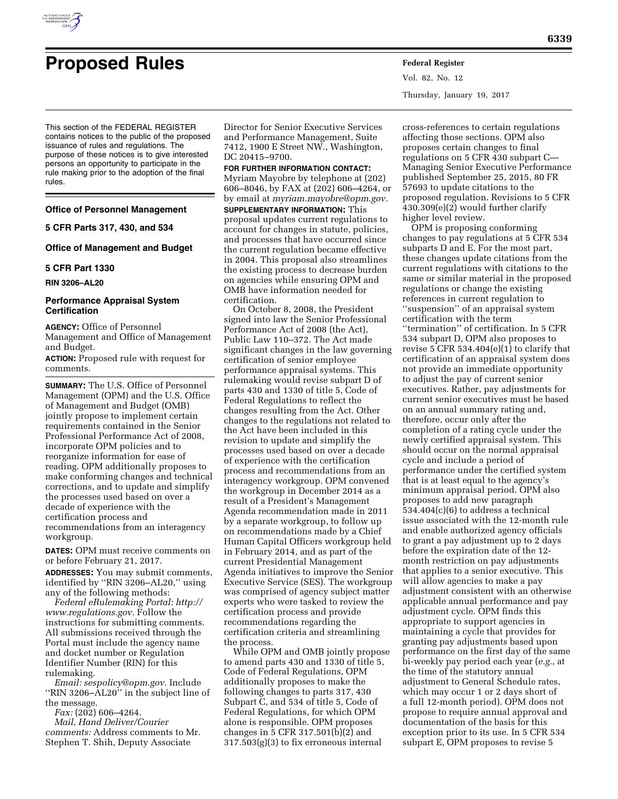

Vol. 82, No. 12 Thursday, January 19, 2017

This section of the FEDERAL REGISTER contains notices to the public of the proposed issuance of rules and regulations. The purpose of these notices is to give interested persons an opportunity to participate in the rule making prior to the adoption of the final rules.

**Office of Personnel Management** 

**5 CFR Parts 317, 430, and 534** 

**Office of Management and Budget** 

### **5 CFR Part 1330**

**RIN 3206–AL20** 

# **Performance Appraisal System Certification**

**AGENCY:** Office of Personnel Management and Office of Management and Budget.

**ACTION:** Proposed rule with request for comments.

**SUMMARY:** The U.S. Office of Personnel Management (OPM) and the U.S. Office of Management and Budget (OMB) jointly propose to implement certain requirements contained in the Senior Professional Performance Act of 2008, incorporate OPM policies and to reorganize information for ease of reading. OPM additionally proposes to make conforming changes and technical corrections, and to update and simplify the processes used based on over a decade of experience with the certification process and recommendations from an interagency workgroup.

**DATES:** OPM must receive comments on or before February 21, 2017.

**ADDRESSES:** You may submit comments, identified by ''RIN 3206–AL20,'' using any of the following methods:

*Federal eRulemaking Portal: [http://](http://www.regulations.gov) [www.regulations.gov.](http://www.regulations.gov)* Follow the instructions for submitting comments. All submissions received through the Portal must include the agency name and docket number or Regulation Identifier Number (RIN) for this rulemaking.

*Email: [sespolicy@opm.gov.](mailto:sespolicy@opm.gov)* Include ''RIN 3206–AL20'' in the subject line of the message.

*Fax:* (202) 606–4264.

*Mail, Hand Deliver/Courier comments:* Address comments to Mr. Stephen T. Shih, Deputy Associate

Director for Senior Executive Services and Performance Management, Suite 7412, 1900 E Street NW., Washington, DC 20415–9700.

**FOR FURTHER INFORMATION CONTACT:** 

Myriam Mayobre by telephone at (202) 606–8046, by FAX at (202) 606–4264, or by email at *[myriam.mayobre@opm.gov.](mailto:myriam.mayobre@opm.gov)*  **SUPPLEMENTARY INFORMATION:** This proposal updates current regulations to account for changes in statute, policies, and processes that have occurred since the current regulation became effective in 2004. This proposal also streamlines the existing process to decrease burden on agencies while ensuring OPM and OMB have information needed for certification.

On October 8, 2008, the President signed into law the Senior Professional Performance Act of 2008 (the Act), Public Law 110–372. The Act made significant changes in the law governing certification of senior employee performance appraisal systems. This rulemaking would revise subpart D of parts 430 and 1330 of title 5, Code of Federal Regulations to reflect the changes resulting from the Act. Other changes to the regulations not related to the Act have been included in this revision to update and simplify the processes used based on over a decade of experience with the certification process and recommendations from an interagency workgroup. OPM convened the workgroup in December 2014 as a result of a President's Management Agenda recommendation made in 2011 by a separate workgroup, to follow up on recommendations made by a Chief Human Capital Officers workgroup held in February 2014, and as part of the current Presidential Management Agenda initiatives to improve the Senior Executive Service (SES). The workgroup was comprised of agency subject matter experts who were tasked to review the certification process and provide recommendations regarding the certification criteria and streamlining the process.

While OPM and OMB jointly propose to amend parts 430 and 1330 of title 5, Code of Federal Regulations, OPM additionally proposes to make the following changes to parts 317, 430 Subpart C, and 534 of title 5, Code of Federal Regulations, for which OPM alone is responsible. OPM proposes changes in 5 CFR 317.501(b)(2) and 317.503(g)(3) to fix erroneous internal

cross-references to certain regulations affecting those sections. OPM also proposes certain changes to final regulations on 5 CFR 430 subpart C— Managing Senior Executive Performance published September 25, 2015, 80 FR 57693 to update citations to the proposed regulation. Revisions to 5 CFR 430.309(e)(2) would further clarify higher level review.

OPM is proposing conforming changes to pay regulations at 5 CFR 534 subparts D and E. For the most part, these changes update citations from the current regulations with citations to the same or similar material in the proposed regulations or change the existing references in current regulation to ''suspension'' of an appraisal system certification with the term ''termination'' of certification. In 5 CFR 534 subpart D, OPM also proposes to revise 5 CFR  $534.404(e)(1)$  to clarify that certification of an appraisal system does not provide an immediate opportunity to adjust the pay of current senior executives. Rather, pay adjustments for current senior executives must be based on an annual summary rating and, therefore, occur only after the completion of a rating cycle under the newly certified appraisal system. This should occur on the normal appraisal cycle and include a period of performance under the certified system that is at least equal to the agency's minimum appraisal period. OPM also proposes to add new paragraph 534.404(c)(6) to address a technical issue associated with the 12-month rule and enable authorized agency officials to grant a pay adjustment up to 2 days before the expiration date of the 12 month restriction on pay adjustments that applies to a senior executive. This will allow agencies to make a pay adjustment consistent with an otherwise applicable annual performance and pay adjustment cycle. OPM finds this appropriate to support agencies in maintaining a cycle that provides for granting pay adjustments based upon performance on the first day of the same bi-weekly pay period each year (*e.g.,* at the time of the statutory annual adjustment to General Schedule rates, which may occur 1 or 2 days short of a full 12-month period). OPM does not propose to require annual approval and documentation of the basis for this exception prior to its use. In 5 CFR 534 subpart E, OPM proposes to revise 5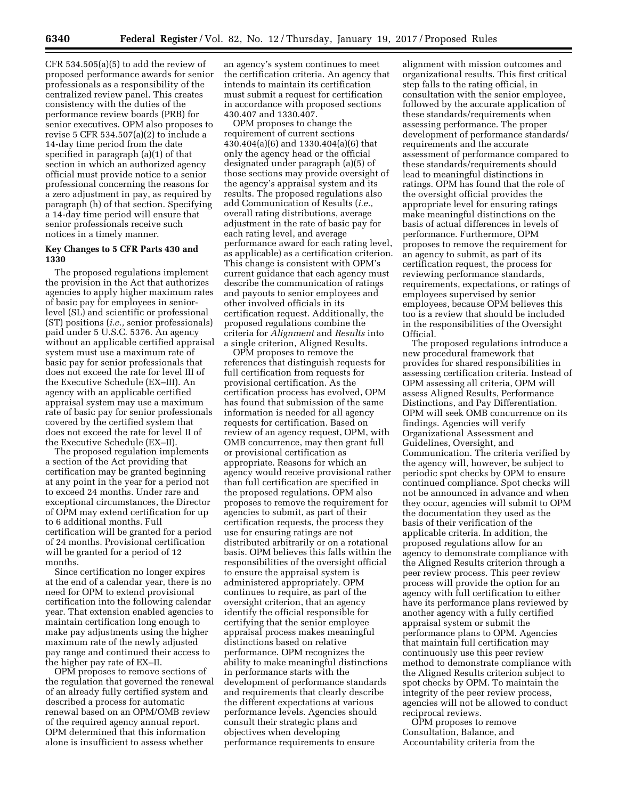$CFR 534.505(a)(5)$  to add the review of proposed performance awards for senior professionals as a responsibility of the centralized review panel. This creates consistency with the duties of the performance review boards (PRB) for senior executives. OPM also proposes to revise 5 CFR 534.507(a)(2) to include a 14-day time period from the date specified in paragraph (a)(1) of that section in which an authorized agency official must provide notice to a senior professional concerning the reasons for a zero adjustment in pay, as required by paragraph (h) of that section. Specifying a 14-day time period will ensure that senior professionals receive such notices in a timely manner.

# **Key Changes to 5 CFR Parts 430 and 1330**

The proposed regulations implement the provision in the Act that authorizes agencies to apply higher maximum rates of basic pay for employees in seniorlevel (SL) and scientific or professional (ST) positions (*i.e.,* senior professionals) paid under 5 U.S.C. 5376. An agency without an applicable certified appraisal system must use a maximum rate of basic pay for senior professionals that does not exceed the rate for level III of the Executive Schedule (EX–III). An agency with an applicable certified appraisal system may use a maximum rate of basic pay for senior professionals covered by the certified system that does not exceed the rate for level II of the Executive Schedule (EX–II).

The proposed regulation implements a section of the Act providing that certification may be granted beginning at any point in the year for a period not to exceed 24 months. Under rare and exceptional circumstances, the Director of OPM may extend certification for up to 6 additional months. Full certification will be granted for a period of 24 months. Provisional certification will be granted for a period of 12 months.

Since certification no longer expires at the end of a calendar year, there is no need for OPM to extend provisional certification into the following calendar year. That extension enabled agencies to maintain certification long enough to make pay adjustments using the higher maximum rate of the newly adjusted pay range and continued their access to the higher pay rate of EX–II.

OPM proposes to remove sections of the regulation that governed the renewal of an already fully certified system and described a process for automatic renewal based on an OPM/OMB review of the required agency annual report. OPM determined that this information alone is insufficient to assess whether

an agency's system continues to meet the certification criteria. An agency that intends to maintain its certification must submit a request for certification in accordance with proposed sections 430.407 and 1330.407.

OPM proposes to change the requirement of current sections 430.404(a)(6) and 1330.404(a)(6) that only the agency head or the official designated under paragraph (a)(5) of those sections may provide oversight of the agency's appraisal system and its results. The proposed regulations also add Communication of Results (*i.e.,*  overall rating distributions, average adjustment in the rate of basic pay for each rating level, and average performance award for each rating level, as applicable) as a certification criterion. This change is consistent with OPM's current guidance that each agency must describe the communication of ratings and payouts to senior employees and other involved officials in its certification request. Additionally, the proposed regulations combine the criteria for *Alignment* and *Results* into a single criterion, Aligned Results.

OPM proposes to remove the references that distinguish requests for full certification from requests for provisional certification. As the certification process has evolved, OPM has found that submission of the same information is needed for all agency requests for certification. Based on review of an agency request, OPM, with OMB concurrence, may then grant full or provisional certification as appropriate. Reasons for which an agency would receive provisional rather than full certification are specified in the proposed regulations. OPM also proposes to remove the requirement for agencies to submit, as part of their certification requests, the process they use for ensuring ratings are not distributed arbitrarily or on a rotational basis. OPM believes this falls within the responsibilities of the oversight official to ensure the appraisal system is administered appropriately. OPM continues to require, as part of the oversight criterion, that an agency identify the official responsible for certifying that the senior employee appraisal process makes meaningful distinctions based on relative performance. OPM recognizes the ability to make meaningful distinctions in performance starts with the development of performance standards and requirements that clearly describe the different expectations at various performance levels. Agencies should consult their strategic plans and objectives when developing performance requirements to ensure

alignment with mission outcomes and organizational results. This first critical step falls to the rating official, in consultation with the senior employee, followed by the accurate application of these standards/requirements when assessing performance. The proper development of performance standards/ requirements and the accurate assessment of performance compared to these standards/requirements should lead to meaningful distinctions in ratings. OPM has found that the role of the oversight official provides the appropriate level for ensuring ratings make meaningful distinctions on the basis of actual differences in levels of performance. Furthermore, OPM proposes to remove the requirement for an agency to submit, as part of its certification request, the process for reviewing performance standards, requirements, expectations, or ratings of employees supervised by senior employees, because OPM believes this too is a review that should be included in the responsibilities of the Oversight Official.

The proposed regulations introduce a new procedural framework that provides for shared responsibilities in assessing certification criteria. Instead of OPM assessing all criteria, OPM will assess Aligned Results, Performance Distinctions, and Pay Differentiation. OPM will seek OMB concurrence on its findings. Agencies will verify Organizational Assessment and Guidelines, Oversight, and Communication. The criteria verified by the agency will, however, be subject to periodic spot checks by OPM to ensure continued compliance. Spot checks will not be announced in advance and when they occur, agencies will submit to OPM the documentation they used as the basis of their verification of the applicable criteria. In addition, the proposed regulations allow for an agency to demonstrate compliance with the Aligned Results criterion through a peer review process. This peer review process will provide the option for an agency with full certification to either have its performance plans reviewed by another agency with a fully certified appraisal system or submit the performance plans to OPM. Agencies that maintain full certification may continuously use this peer review method to demonstrate compliance with the Aligned Results criterion subject to spot checks by OPM. To maintain the integrity of the peer review process, agencies will not be allowed to conduct reciprocal reviews.

OPM proposes to remove Consultation, Balance, and Accountability criteria from the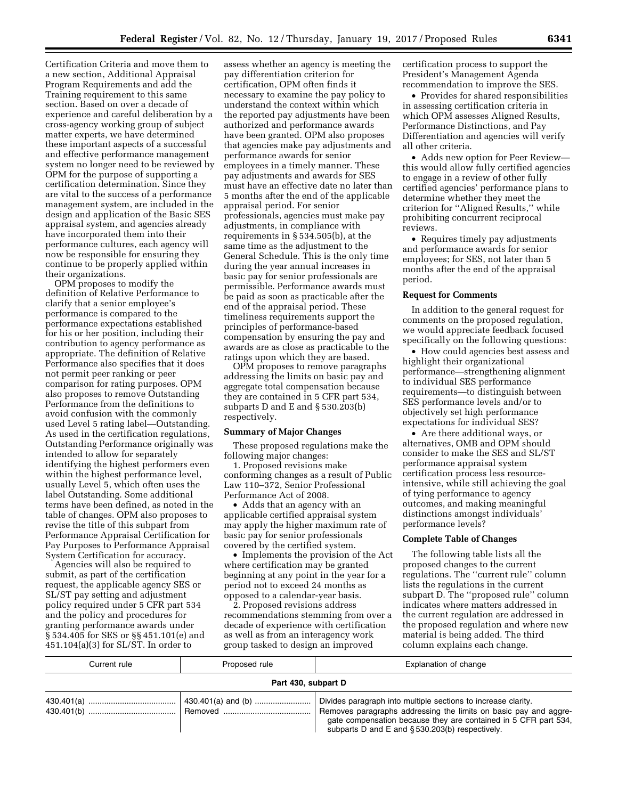Certification Criteria and move them to a new section, Additional Appraisal Program Requirements and add the Training requirement to this same section. Based on over a decade of experience and careful deliberation by a cross-agency working group of subject matter experts, we have determined these important aspects of a successful and effective performance management system no longer need to be reviewed by OPM for the purpose of supporting a certification determination. Since they are vital to the success of a performance management system, are included in the design and application of the Basic SES appraisal system, and agencies already have incorporated them into their performance cultures, each agency will now be responsible for ensuring they continue to be properly applied within their organizations.

OPM proposes to modify the definition of Relative Performance to clarify that a senior employee's performance is compared to the performance expectations established for his or her position, including their contribution to agency performance as appropriate. The definition of Relative Performance also specifies that it does not permit peer ranking or peer comparison for rating purposes. OPM also proposes to remove Outstanding Performance from the definitions to avoid confusion with the commonly used Level 5 rating label—Outstanding. As used in the certification regulations, Outstanding Performance originally was intended to allow for separately identifying the highest performers even within the highest performance level, usually Level 5, which often uses the label Outstanding. Some additional terms have been defined, as noted in the table of changes. OPM also proposes to revise the title of this subpart from Performance Appraisal Certification for Pay Purposes to Performance Appraisal System Certification for accuracy.

Agencies will also be required to submit, as part of the certification request, the applicable agency SES or SL/ST pay setting and adjustment policy required under 5 CFR part 534 and the policy and procedures for granting performance awards under § 534.405 for SES or §§ 451.101(e) and 451.104(a)(3) for SL/ST. In order to

assess whether an agency is meeting the pay differentiation criterion for certification, OPM often finds it necessary to examine the pay policy to understand the context within which the reported pay adjustments have been authorized and performance awards have been granted. OPM also proposes that agencies make pay adjustments and performance awards for senior employees in a timely manner. These pay adjustments and awards for SES must have an effective date no later than 5 months after the end of the applicable appraisal period. For senior professionals, agencies must make pay adjustments, in compliance with requirements in § 534.505(b), at the same time as the adjustment to the General Schedule. This is the only time during the year annual increases in basic pay for senior professionals are permissible. Performance awards must be paid as soon as practicable after the end of the appraisal period. These timeliness requirements support the principles of performance-based compensation by ensuring the pay and awards are as close as practicable to the ratings upon which they are based.

OPM proposes to remove paragraphs addressing the limits on basic pay and aggregate total compensation because they are contained in 5 CFR part 534, subparts D and E and § 530.203(b) respectively.

### **Summary of Major Changes**

These proposed regulations make the following major changes:

1. Proposed revisions make conforming changes as a result of Public Law 110–372, Senior Professional Performance Act of 2008.

• Adds that an agency with an applicable certified appraisal system may apply the higher maximum rate of basic pay for senior professionals covered by the certified system.

• Implements the provision of the Act where certification may be granted beginning at any point in the year for a period not to exceed 24 months as opposed to a calendar-year basis.

2. Proposed revisions address recommendations stemming from over a decade of experience with certification as well as from an interagency work group tasked to design an improved

certification process to support the President's Management Agenda recommendation to improve the SES.

• Provides for shared responsibilities in assessing certification criteria in which OPM assesses Aligned Results, Performance Distinctions, and Pay Differentiation and agencies will verify all other criteria.

• Adds new option for Peer Review this would allow fully certified agencies to engage in a review of other fully certified agencies' performance plans to determine whether they meet the criterion for ''Aligned Results,'' while prohibiting concurrent reciprocal reviews.

• Requires timely pay adjustments and performance awards for senior employees; for SES, not later than 5 months after the end of the appraisal period.

## **Request for Comments**

In addition to the general request for comments on the proposed regulation, we would appreciate feedback focused specifically on the following questions:

• How could agencies best assess and highlight their organizational performance—strengthening alignment to individual SES performance requirements—to distinguish between SES performance levels and/or to objectively set high performance expectations for individual SES?

• Are there additional ways, or alternatives, OMB and OPM should consider to make the SES and SL/ST performance appraisal system certification process less resourceintensive, while still achieving the goal of tying performance to agency outcomes, and making meaningful distinctions amongst individuals' performance levels?

### **Complete Table of Changes**

The following table lists all the proposed changes to the current regulations. The ''current rule'' column lists the regulations in the current subpart D. The ''proposed rule'' column indicates where matters addressed in the current regulation are addressed in the proposed regulation and where new material is being added. The third column explains each change.

| Current rule        | Proposed rule      | Explanation of change                                                                                                                                                                                                                                  |  |  |
|---------------------|--------------------|--------------------------------------------------------------------------------------------------------------------------------------------------------------------------------------------------------------------------------------------------------|--|--|
| Part 430, subpart D |                    |                                                                                                                                                                                                                                                        |  |  |
|                     | 430.401(a) and (b) | Divides paragraph into multiple sections to increase clarity.<br>Removes paragraphs addressing the limits on basic pay and aggre-<br>gate compensation because they are contained in 5 CFR part 534.<br>subparts D and E and §530.203(b) respectively. |  |  |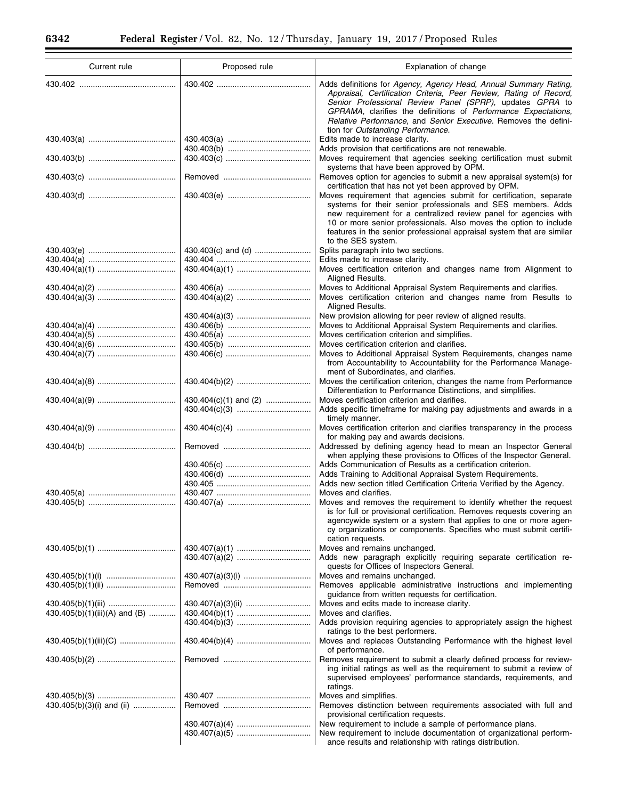| Current rule                  | Proposed rule         | Explanation of change                                                                                                                                                                                                                                                                                                                                                       |
|-------------------------------|-----------------------|-----------------------------------------------------------------------------------------------------------------------------------------------------------------------------------------------------------------------------------------------------------------------------------------------------------------------------------------------------------------------------|
|                               |                       | Adds definitions for Agency, Agency Head, Annual Summary Rating,<br>Appraisal, Certification Criteria, Peer Review, Rating of Record,<br>Senior Professional Review Panel (SPRP), updates GPRA to<br>GPRAMA, clarifies the definitions of Performance Expectations,<br>Relative Performance, and Senior Executive. Removes the defini-<br>tion for Outstanding Performance. |
|                               |                       | Edits made to increase clarity.<br>Adds provision that certifications are not renewable.                                                                                                                                                                                                                                                                                    |
|                               |                       | Moves requirement that agencies seeking certification must submit<br>systems that have been approved by OPM.                                                                                                                                                                                                                                                                |
|                               |                       | Removes option for agencies to submit a new appraisal system(s) for<br>certification that has not yet been approved by OPM.                                                                                                                                                                                                                                                 |
|                               |                       | Moves requirement that agencies submit for certification, separate<br>systems for their senior professionals and SES members. Adds<br>new requirement for a centralized review panel for agencies with<br>10 or more senior professionals. Also moves the option to include<br>features in the senior professional appraisal system that are similar<br>to the SES system.  |
|                               |                       | Splits paragraph into two sections.                                                                                                                                                                                                                                                                                                                                         |
|                               |                       | Edits made to increase clarity.                                                                                                                                                                                                                                                                                                                                             |
|                               |                       | Moves certification criterion and changes name from Alignment to<br>Aligned Results.                                                                                                                                                                                                                                                                                        |
|                               |                       | Moves to Additional Appraisal System Requirements and clarifies.                                                                                                                                                                                                                                                                                                            |
|                               |                       | Moves certification criterion and changes name from Results to<br>Aligned Results.                                                                                                                                                                                                                                                                                          |
|                               |                       | New provision allowing for peer review of aligned results.                                                                                                                                                                                                                                                                                                                  |
|                               |                       | Moves to Additional Appraisal System Requirements and clarifies.<br>Moves certification criterion and simplifies.                                                                                                                                                                                                                                                           |
|                               |                       | Moves certification criterion and clarifies.                                                                                                                                                                                                                                                                                                                                |
|                               |                       | Moves to Additional Appraisal System Requirements, changes name                                                                                                                                                                                                                                                                                                             |
|                               |                       | from Accountability to Accountability for the Performance Manage-<br>ment of Subordinates, and clarifies.                                                                                                                                                                                                                                                                   |
|                               |                       | Moves the certification criterion, changes the name from Performance<br>Differentiation to Performance Distinctions, and simplifies.                                                                                                                                                                                                                                        |
|                               | 430.404(c)(1) and (2) | Moves certification criterion and clarifies.                                                                                                                                                                                                                                                                                                                                |
|                               |                       | Adds specific timeframe for making pay adjustments and awards in a<br>timely manner.                                                                                                                                                                                                                                                                                        |
|                               |                       | Moves certification criterion and clarifies transparency in the process<br>for making pay and awards decisions.                                                                                                                                                                                                                                                             |
|                               |                       | Addressed by defining agency head to mean an Inspector General<br>when applying these provisions to Offices of the Inspector General.                                                                                                                                                                                                                                       |
|                               |                       | Adds Communication of Results as a certification criterion.                                                                                                                                                                                                                                                                                                                 |
|                               |                       | Adds Training to Additional Appraisal System Requirements.                                                                                                                                                                                                                                                                                                                  |
|                               |                       | Adds new section titled Certification Criteria Verified by the Agency.                                                                                                                                                                                                                                                                                                      |
|                               |                       | Moves and clarifies.                                                                                                                                                                                                                                                                                                                                                        |
|                               |                       | Moves and removes the requirement to identify whether the request<br>is for full or provisional certification. Removes requests covering an<br>agencywide system or a system that applies to one or more agen-<br>cy organizations or components. Specifies who must submit certifi-<br>cation requests.                                                                    |
|                               |                       | Moves and remains unchanged.                                                                                                                                                                                                                                                                                                                                                |
|                               |                       | Adds new paragraph explicitly requiring separate certification re-<br>quests for Offices of Inspectors General.                                                                                                                                                                                                                                                             |
|                               |                       | Moves and remains unchanged.                                                                                                                                                                                                                                                                                                                                                |
|                               |                       | Removes applicable administrative instructions and implementing<br>guidance from written requests for certification.                                                                                                                                                                                                                                                        |
|                               |                       | Moves and edits made to increase clarity.                                                                                                                                                                                                                                                                                                                                   |
| 430.405(b)(1)(iii)(A) and (B) |                       | Moves and clarifies.                                                                                                                                                                                                                                                                                                                                                        |
|                               |                       | Adds provision requiring agencies to appropriately assign the highest<br>ratings to the best performers.                                                                                                                                                                                                                                                                    |
| 430.405(b)(1)(iii)(C)         |                       | Moves and replaces Outstanding Performance with the highest level<br>of performance.                                                                                                                                                                                                                                                                                        |
|                               |                       | Removes requirement to submit a clearly defined process for review-<br>ing initial ratings as well as the requirement to submit a review of<br>supervised employees' performance standards, requirements, and<br>ratings.                                                                                                                                                   |
|                               |                       | Moves and simplifies.                                                                                                                                                                                                                                                                                                                                                       |
| 430.405(b)(3)(i) and (ii)     |                       | Removes distinction between requirements associated with full and<br>provisional certification requests.                                                                                                                                                                                                                                                                    |
|                               |                       | New requirement to include a sample of performance plans.<br>New requirement to include documentation of organizational perform-<br>ance results and relationship with ratings distribution.                                                                                                                                                                                |

 $\equiv$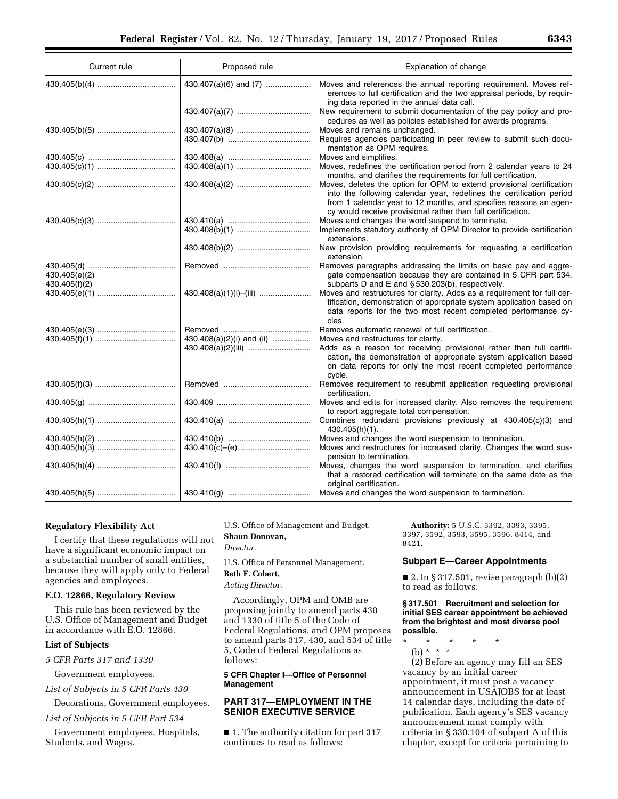| Current rule                   | Proposed rule             | Explanation of change                                                                                                                                                                                                                                                              |
|--------------------------------|---------------------------|------------------------------------------------------------------------------------------------------------------------------------------------------------------------------------------------------------------------------------------------------------------------------------|
|                                | 430.407(a)(6) and (7)     | Moves and references the annual reporting requirement. Moves ref-<br>erences to full certification and the two appraisal periods, by requir-<br>ing data reported in the annual data call.                                                                                         |
|                                |                           | New requirement to submit documentation of the pay policy and pro-<br>cedures as well as policies established for awards programs.                                                                                                                                                 |
|                                |                           | Moves and remains unchanged.                                                                                                                                                                                                                                                       |
|                                |                           | Requires agencies participating in peer review to submit such docu-<br>mentation as OPM requires.                                                                                                                                                                                  |
|                                |                           | Moves and simplifies.                                                                                                                                                                                                                                                              |
|                                |                           | Moves, redefines the certification period from 2 calendar years to 24<br>months, and clarifies the requirements for full certification.                                                                                                                                            |
|                                |                           | Moves, deletes the option for OPM to extend provisional certification<br>into the following calendar year, redefines the certification period<br>from 1 calendar year to 12 months, and specifies reasons an agen-<br>cy would receive provisional rather than full certification. |
|                                |                           | Moves and changes the word suspend to terminate.<br>Implements statutory authority of OPM Director to provide certification<br>extensions.                                                                                                                                         |
|                                |                           | New provision providing requirements for requesting a certification<br>extension.                                                                                                                                                                                                  |
| 430.405(e)(2)<br>430.405(f)(2) |                           | Removes paragraphs addressing the limits on basic pay and aggre-<br>gate compensation because they are contained in 5 CFR part 534,<br>subparts D and E and § 530.203(b), respectively.                                                                                            |
|                                | 430.408(a)(1)(i)-(iii)    | Moves and restructures for clarity. Adds as a requirement for full cer-<br>tification, demonstration of appropriate system application based on<br>data reports for the two most recent completed performance cy-<br>cles.                                                         |
|                                |                           | Removes automatic renewal of full certification.                                                                                                                                                                                                                                   |
|                                | 430.408(a)(2)(i) and (ii) | Moves and restructures for clarity.                                                                                                                                                                                                                                                |
|                                |                           | Adds as a reason for receiving provisional rather than full certifi-<br>cation, the demonstration of appropriate system application based<br>on data reports for only the most recent completed performance<br>cycle.                                                              |
|                                |                           | Removes requirement to resubmit application requesting provisional<br>certification.                                                                                                                                                                                               |
|                                |                           | Moves and edits for increased clarity. Also removes the requirement<br>to report aggregate total compensation.                                                                                                                                                                     |
|                                |                           | Combines redundant provisions previously at 430.405(c)(3) and<br>430.405(h)(1).                                                                                                                                                                                                    |
|                                |                           | Moves and changes the word suspension to termination.                                                                                                                                                                                                                              |
|                                |                           | Moves and restructures for increased clarity. Changes the word sus-<br>pension to termination.                                                                                                                                                                                     |
|                                |                           | Moves, changes the word suspension to termination, and clarifies<br>that a restored certification will terminate on the same date as the<br>original certification.                                                                                                                |
|                                |                           | Moves and changes the word suspension to termination.                                                                                                                                                                                                                              |

# **Regulatory Flexibility Act**

I certify that these regulations will not have a significant economic impact on a substantial number of small entities, because they will apply only to Federal agencies and employees.

### **E.O. 12866, Regulatory Review**

This rule has been reviewed by the U.S. Office of Management and Budget in accordance with E.O. 12866.

## **List of Subjects**

*5 CFR Parts 317 and 1330* 

Government employees.

*List of Subjects in 5 CFR Parts 430* 

Decorations, Government employees.

*List of Subjects in 5 CFR Part 534* 

Government employees, Hospitals, Students, and Wages.

U.S. Office of Management and Budget.

### **Shaun Donovan,**  *Director.*

U.S. Office of Personnel Management.

# **Beth F. Cobert,**

*Acting Director.* 

Accordingly, OPM and OMB are proposing jointly to amend parts 430 and 1330 of title 5 of the Code of Federal Regulations, and OPM proposes to amend parts 317, 430, and 534 of title 5, Code of Federal Regulations as follows:

# **5 CFR Chapter I—Office of Personnel Management**

# **PART 317—EMPLOYMENT IN THE SENIOR EXECUTIVE SERVICE**

■ 1. The authority citation for part 317 continues to read as follows:

**Authority:** 5 U.S.C. 3392, 3393, 3395, 3397, 3592, 3593, 3595, 3596, 8414, and 8421.

# **Subpart E—Career Appointments**

■ 2. In § 317.501, revise paragraph  $(b)(2)$ to read as follows:

### **§ 317.501 Recruitment and selection for initial SES career appointment be achieved from the brightest and most diverse pool possible.**

- \* \* \* \* \*
	- (b) \* \* \*

(2) Before an agency may fill an SES vacancy by an initial career appointment, it must post a vacancy announcement in USAJOBS for at least 14 calendar days, including the date of publication. Each agency's SES vacancy announcement must comply with criteria in § 330.104 of subpart A of this chapter, except for criteria pertaining to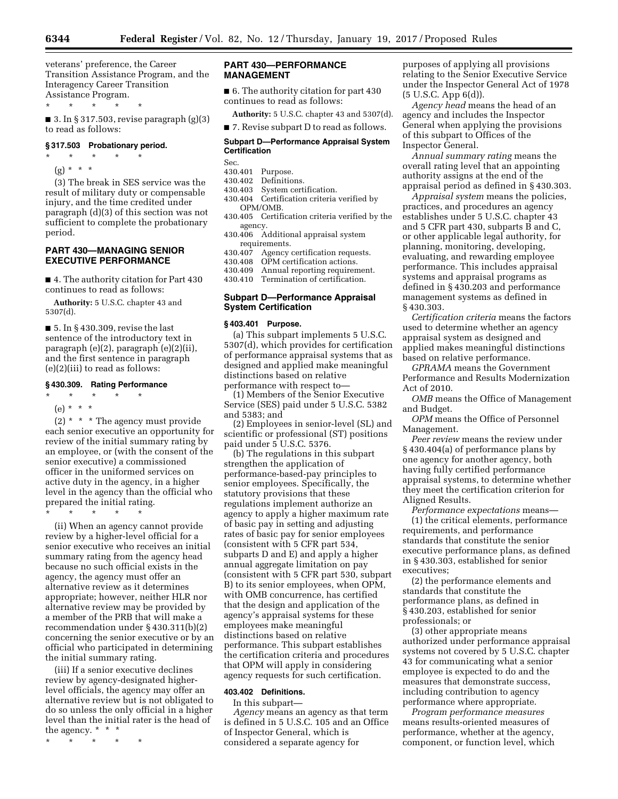veterans' preference, the Career Transition Assistance Program, and the Interagency Career Transition Assistance Program.

\* \* \* \* \*

■ 3. In § 317.503, revise paragraph  $(g)(3)$ to read as follows:

### **§ 317.503 Probationary period.**

- \* \* \* \* \*
	- $(g) * * * *$

(3) The break in SES service was the result of military duty or compensable injury, and the time credited under paragraph (d)(3) of this section was not sufficient to complete the probationary period.

# **PART 430—MANAGING SENIOR EXECUTIVE PERFORMANCE**

■ 4. The authority citation for Part 430 continues to read as follows:

**Authority:** 5 U.S.C. chapter 43 and 5307(d).

■ 5. In § 430.309, revise the last sentence of the introductory text in paragraph (e)(2), paragraph (e)(2)(ii), and the first sentence in paragraph (e)(2)(iii) to read as follows:

# **§ 430.309. Rating Performance**

- \* \* \* \* \*
- (e) \* \* \*

(2) \* \* \* The agency must provide each senior executive an opportunity for review of the initial summary rating by an employee, or (with the consent of the senior executive) a commissioned officer in the uniformed services on active duty in the agency, in a higher level in the agency than the official who prepared the initial rating.

\* \* \* \* \*

(ii) When an agency cannot provide review by a higher-level official for a senior executive who receives an initial summary rating from the agency head because no such official exists in the agency, the agency must offer an alternative review as it determines appropriate; however, neither HLR nor alternative review may be provided by a member of the PRB that will make a recommendation under § 430.311(b)(2) concerning the senior executive or by an official who participated in determining the initial summary rating.

(iii) If a senior executive declines review by agency-designated higherlevel officials, the agency may offer an alternative review but is not obligated to do so unless the only official in a higher level than the initial rater is the head of the agency. \* \* \*

\* \* \* \* \*

# **PART 430—PERFORMANCE MANAGEMENT**

■ 6. The authority citation for part 430 continues to read as follows:

**Authority:** 5 U.S.C. chapter 43 and 5307(d).

■ 7. Revise subpart D to read as follows.

# **Subpart D—Performance Appraisal System Certification**

- Sec.
- 430.401 Purpose.
- 430.402 Definitions.<br>430.403 System cert System certification.
- 430.404 Certification criteria verified by OPM/OMB.
- 430.405 Certification criteria verified by the agency.
- 430.406 Additional appraisal system requirements.<br>430.407 Agency
- 430.407 Agency certification requests.<br>430.408 OPM certification actions.
- OPM certification actions.
- 430.409 Annual reporting requirement.
- 430.410 Termination of certification.

## **Subpart D—Performance Appraisal System Certification**

### **§ 403.401 Purpose.**

(a) This subpart implements 5 U.S.C. 5307(d), which provides for certification of performance appraisal systems that as designed and applied make meaningful distinctions based on relative performance with respect to—

(1) Members of the Senior Executive Service (SES) paid under 5 U.S.C. 5382 and 5383; and

(2) Employees in senior-level (SL) and scientific or professional (ST) positions paid under 5 U.S.C. 5376.

(b) The regulations in this subpart strengthen the application of performance-based-pay principles to senior employees. Specifically, the statutory provisions that these regulations implement authorize an agency to apply a higher maximum rate of basic pay in setting and adjusting rates of basic pay for senior employees (consistent with 5 CFR part 534, subparts D and E) and apply a higher annual aggregate limitation on pay (consistent with 5 CFR part 530, subpart B) to its senior employees, when OPM, with OMB concurrence, has certified that the design and application of the agency's appraisal systems for these employees make meaningful distinctions based on relative performance. This subpart establishes the certification criteria and procedures that OPM will apply in considering agency requests for such certification.

## **403.402 Definitions.**

#### In this subpart—

*Agency* means an agency as that term is defined in 5 U.S.C. 105 and an Office of Inspector General, which is considered a separate agency for

purposes of applying all provisions relating to the Senior Executive Service under the Inspector General Act of 1978 (5 U.S.C. App 6(d)).

*Agency head* means the head of an agency and includes the Inspector General when applying the provisions of this subpart to Offices of the Inspector General.

*Annual summary rating* means the overall rating level that an appointing authority assigns at the end of the appraisal period as defined in § 430.303.

*Appraisal system* means the policies, practices, and procedures an agency establishes under 5 U.S.C. chapter 43 and 5 CFR part 430, subparts B and C, or other applicable legal authority, for planning, monitoring, developing, evaluating, and rewarding employee performance. This includes appraisal systems and appraisal programs as defined in § 430.203 and performance management systems as defined in § 430.303.

*Certification criteria* means the factors used to determine whether an agency appraisal system as designed and applied makes meaningful distinctions based on relative performance.

*GPRAMA* means the Government Performance and Results Modernization Act of 2010.

*OMB* means the Office of Management and Budget.

*OPM* means the Office of Personnel Management.

*Peer review* means the review under § 430.404(a) of performance plans by one agency for another agency, both having fully certified performance appraisal systems, to determine whether they meet the certification criterion for Aligned Results.

*Performance expectations* means—

(1) the critical elements, performance requirements, and performance standards that constitute the senior executive performance plans, as defined in § 430.303, established for senior executives;

(2) the performance elements and standards that constitute the performance plans, as defined in § 430.203, established for senior professionals; or

(3) other appropriate means authorized under performance appraisal systems not covered by 5 U.S.C. chapter 43 for communicating what a senior employee is expected to do and the measures that demonstrate success, including contribution to agency performance where appropriate.

*Program performance measures*  means results-oriented measures of performance, whether at the agency, component, or function level, which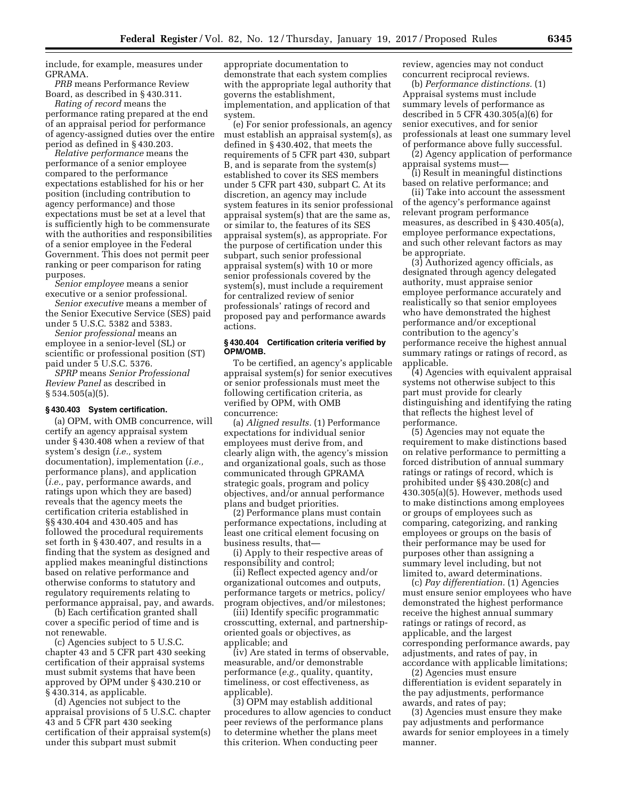include, for example, measures under GPRAMA.

*PRB* means Performance Review Board, as described in § 430.311. *Rating of record* means the

performance rating prepared at the end of an appraisal period for performance of agency-assigned duties over the entire period as defined in § 430.203.

*Relative performance* means the performance of a senior employee compared to the performance expectations established for his or her position (including contribution to agency performance) and those expectations must be set at a level that is sufficiently high to be commensurate with the authorities and responsibilities of a senior employee in the Federal Government. This does not permit peer ranking or peer comparison for rating purposes.

*Senior employee* means a senior executive or a senior professional.

*Senior executive* means a member of the Senior Executive Service (SES) paid under 5 U.S.C. 5382 and 5383.

*Senior professional* means an employee in a senior-level (SL) or scientific or professional position (ST) paid under 5 U.S.C. 5376.

*SPRP* means *Senior Professional Review Panel* as described in § 534.505(a)(5).

# **§ 430.403 System certification.**

(a) OPM, with OMB concurrence, will certify an agency appraisal system under § 430.408 when a review of that system's design (*i.e.,* system documentation), implementation (*i.e.,*  performance plans), and application (*i.e.,* pay, performance awards, and ratings upon which they are based) reveals that the agency meets the certification criteria established in §§ 430.404 and 430.405 and has followed the procedural requirements set forth in § 430.407, and results in a finding that the system as designed and applied makes meaningful distinctions based on relative performance and otherwise conforms to statutory and regulatory requirements relating to performance appraisal, pay, and awards.

(b) Each certification granted shall cover a specific period of time and is not renewable.

(c) Agencies subject to 5 U.S.C. chapter 43 and 5 CFR part 430 seeking certification of their appraisal systems must submit systems that have been approved by OPM under § 430.210 or § 430.314, as applicable.

(d) Agencies not subject to the appraisal provisions of 5 U.S.C. chapter 43 and 5 CFR part 430 seeking certification of their appraisal system(s) under this subpart must submit

appropriate documentation to demonstrate that each system complies with the appropriate legal authority that governs the establishment, implementation, and application of that system.

(e) For senior professionals, an agency must establish an appraisal system(s), as defined in § 430.402, that meets the requirements of 5 CFR part 430, subpart B, and is separate from the system(s) established to cover its SES members under 5 CFR part 430, subpart C. At its discretion, an agency may include system features in its senior professional appraisal system(s) that are the same as, or similar to, the features of its SES appraisal system(s), as appropriate. For the purpose of certification under this subpart, such senior professional appraisal system(s) with 10 or more senior professionals covered by the system(s), must include a requirement for centralized review of senior professionals' ratings of record and proposed pay and performance awards actions.

# **§ 430.404 Certification criteria verified by OPM/OMB.**

To be certified, an agency's applicable appraisal system(s) for senior executives or senior professionals must meet the following certification criteria, as verified by OPM, with OMB concurrence:

(a) *Aligned results.* (1) Performance expectations for individual senior employees must derive from, and clearly align with, the agency's mission and organizational goals, such as those communicated through GPRAMA strategic goals, program and policy objectives, and/or annual performance plans and budget priorities.

(2) Performance plans must contain performance expectations, including at least one critical element focusing on business results, that—

(i) Apply to their respective areas of responsibility and control;

(ii) Reflect expected agency and/or organizational outcomes and outputs, performance targets or metrics, policy/ program objectives, and/or milestones;

(iii) Identify specific programmatic crosscutting, external, and partnershiporiented goals or objectives, as applicable; and

(iv) Are stated in terms of observable, measurable, and/or demonstrable performance (*e.g.,* quality, quantity, timeliness, or cost effectiveness, as applicable).

(3) OPM may establish additional procedures to allow agencies to conduct peer reviews of the performance plans to determine whether the plans meet this criterion. When conducting peer

review, agencies may not conduct concurrent reciprocal reviews.

(b) *Performance distinctions.* (1) Appraisal systems must include summary levels of performance as described in 5 CFR 430.305(a)(6) for senior executives, and for senior professionals at least one summary level of performance above fully successful.

(2) Agency application of performance appraisal systems must—

(i) Result in meaningful distinctions based on relative performance; and

(ii) Take into account the assessment of the agency's performance against relevant program performance measures, as described in § 430.405(a), employee performance expectations, and such other relevant factors as may be appropriate.

(3) Authorized agency officials, as designated through agency delegated authority, must appraise senior employee performance accurately and realistically so that senior employees who have demonstrated the highest performance and/or exceptional contribution to the agency's performance receive the highest annual summary ratings or ratings of record, as applicable.

(4) Agencies with equivalent appraisal systems not otherwise subject to this part must provide for clearly distinguishing and identifying the rating that reflects the highest level of performance.

(5) Agencies may not equate the requirement to make distinctions based on relative performance to permitting a forced distribution of annual summary ratings or ratings of record, which is prohibited under §§ 430.208(c) and 430.305(a)(5). However, methods used to make distinctions among employees or groups of employees such as comparing, categorizing, and ranking employees or groups on the basis of their performance may be used for purposes other than assigning a summary level including, but not limited to, award determinations.

(c) *Pay differentiation.* (1) Agencies must ensure senior employees who have demonstrated the highest performance receive the highest annual summary ratings or ratings of record, as applicable, and the largest corresponding performance awards, pay adjustments, and rates of pay, in accordance with applicable limitations;

(2) Agencies must ensure differentiation is evident separately in the pay adjustments, performance awards, and rates of pay;

(3) Agencies must ensure they make pay adjustments and performance awards for senior employees in a timely manner.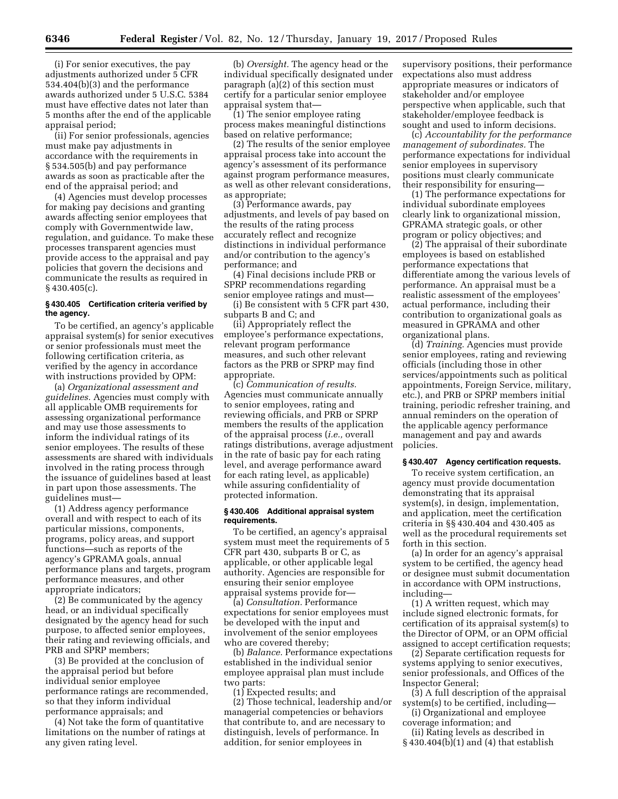(i) For senior executives, the pay adjustments authorized under 5 CFR 534.404(b)(3) and the performance awards authorized under 5 U.S.C. 5384 must have effective dates not later than 5 months after the end of the applicable appraisal period;

(ii) For senior professionals, agencies must make pay adjustments in accordance with the requirements in § 534.505(b) and pay performance awards as soon as practicable after the end of the appraisal period; and

(4) Agencies must develop processes for making pay decisions and granting awards affecting senior employees that comply with Governmentwide law, regulation, and guidance. To make these processes transparent agencies must provide access to the appraisal and pay policies that govern the decisions and communicate the results as required in  $§$  430.405(c).

# **§ 430.405 Certification criteria verified by the agency.**

To be certified, an agency's applicable appraisal system(s) for senior executives or senior professionals must meet the following certification criteria, as verified by the agency in accordance with instructions provided by OPM:

(a) *Organizational assessment and guidelines.* Agencies must comply with all applicable OMB requirements for assessing organizational performance and may use those assessments to inform the individual ratings of its senior employees. The results of these assessments are shared with individuals involved in the rating process through the issuance of guidelines based at least in part upon those assessments. The guidelines must—

(1) Address agency performance overall and with respect to each of its particular missions, components, programs, policy areas, and support functions—such as reports of the agency's GPRAMA goals, annual performance plans and targets, program performance measures, and other appropriate indicators;

(2) Be communicated by the agency head, or an individual specifically designated by the agency head for such purpose, to affected senior employees, their rating and reviewing officials, and PRB and SPRP members;

(3) Be provided at the conclusion of the appraisal period but before individual senior employee performance ratings are recommended, so that they inform individual performance appraisals; and

(4) Not take the form of quantitative limitations on the number of ratings at any given rating level.

(b) *Oversight.* The agency head or the individual specifically designated under paragraph (a)(2) of this section must certify for a particular senior employee appraisal system that—

(1) The senior employee rating process makes meaningful distinctions based on relative performance;

(2) The results of the senior employee appraisal process take into account the agency's assessment of its performance against program performance measures, as well as other relevant considerations, as appropriate;

(3) Performance awards, pay adjustments, and levels of pay based on the results of the rating process accurately reflect and recognize distinctions in individual performance and/or contribution to the agency's performance; and

(4) Final decisions include PRB or SPRP recommendations regarding senior employee ratings and must—

(i) Be consistent with 5 CFR part 430, subparts B and C; and

(ii) Appropriately reflect the employee's performance expectations, relevant program performance measures, and such other relevant factors as the PRB or SPRP may find appropriate.

(c) *Communication of results.*  Agencies must communicate annually to senior employees, rating and reviewing officials, and PRB or SPRP members the results of the application of the appraisal process (*i.e.,* overall ratings distributions, average adjustment in the rate of basic pay for each rating level, and average performance award for each rating level, as applicable) while assuring confidentiality of protected information.

# **§ 430.406 Additional appraisal system requirements.**

To be certified, an agency's appraisal system must meet the requirements of 5 CFR part 430, subparts B or C, as applicable, or other applicable legal authority. Agencies are responsible for ensuring their senior employee appraisal systems provide for—

(a) *Consultation.* Performance expectations for senior employees must be developed with the input and involvement of the senior employees who are covered thereby;

(b) *Balance.* Performance expectations established in the individual senior employee appraisal plan must include two parts:

(1) Expected results; and

(2) Those technical, leadership and/or managerial competencies or behaviors that contribute to, and are necessary to distinguish, levels of performance. In addition, for senior employees in

supervisory positions, their performance expectations also must address appropriate measures or indicators of stakeholder and/or employee perspective when applicable, such that stakeholder/employee feedback is sought and used to inform decisions.

(c) *Accountability for the performance management of subordinates.* The performance expectations for individual senior employees in supervisory positions must clearly communicate their responsibility for ensuring—

(1) The performance expectations for individual subordinate employees clearly link to organizational mission, GPRAMA strategic goals, or other program or policy objectives; and

(2) The appraisal of their subordinate employees is based on established performance expectations that differentiate among the various levels of performance. An appraisal must be a realistic assessment of the employees' actual performance, including their contribution to organizational goals as measured in GPRAMA and other organizational plans.

(d) *Training.* Agencies must provide senior employees, rating and reviewing officials (including those in other services/appointments such as political appointments, Foreign Service, military, etc.), and PRB or SPRP members initial training, periodic refresher training, and annual reminders on the operation of the applicable agency performance management and pay and awards policies.

### **§ 430.407 Agency certification requests.**

To receive system certification, an agency must provide documentation demonstrating that its appraisal system(s), in design, implementation, and application, meet the certification criteria in §§ 430.404 and 430.405 as well as the procedural requirements set forth in this section.

(a) In order for an agency's appraisal system to be certified, the agency head or designee must submit documentation in accordance with OPM instructions, including—

(1) A written request, which may include signed electronic formats, for certification of its appraisal system(s) to the Director of OPM, or an OPM official assigned to accept certification requests;

(2) Separate certification requests for systems applying to senior executives, senior professionals, and Offices of the Inspector General;

(3) A full description of the appraisal system(s) to be certified, including—

(i) Organizational and employee coverage information; and

(ii) Rating levels as described in § 430.404(b)(1) and (4) that establish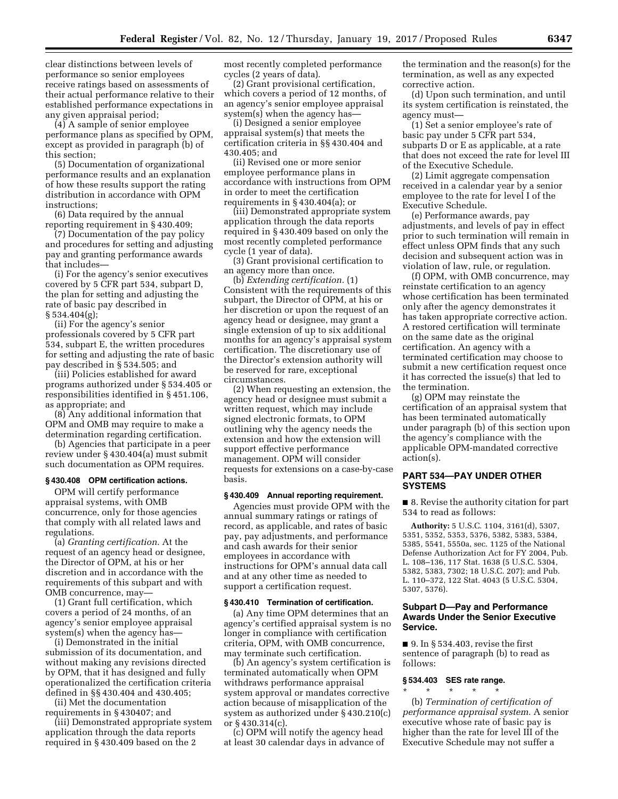clear distinctions between levels of performance so senior employees receive ratings based on assessments of their actual performance relative to their established performance expectations in any given appraisal period;

(4) A sample of senior employee performance plans as specified by OPM, except as provided in paragraph (b) of this section;

(5) Documentation of organizational performance results and an explanation of how these results support the rating distribution in accordance with OPM instructions;

(6) Data required by the annual reporting requirement in § 430.409;

(7) Documentation of the pay policy and procedures for setting and adjusting pay and granting performance awards that includes—

(i) For the agency's senior executives covered by 5 CFR part 534, subpart D, the plan for setting and adjusting the rate of basic pay described in § 534.404(g);

(ii) For the agency's senior professionals covered by 5 CFR part 534, subpart E, the written procedures for setting and adjusting the rate of basic pay described in § 534.505; and

(iii) Policies established for award programs authorized under § 534.405 or responsibilities identified in § 451.106, as appropriate; and

(8) Any additional information that OPM and OMB may require to make a determination regarding certification.

(b) Agencies that participate in a peer review under § 430.404(a) must submit such documentation as OPM requires.

# **§ 430.408 OPM certification actions.**

OPM will certify performance appraisal systems, with OMB concurrence, only for those agencies that comply with all related laws and regulations.

(a) *Granting certification.* At the request of an agency head or designee, the Director of OPM, at his or her discretion and in accordance with the requirements of this subpart and with OMB concurrence, may—

(1) Grant full certification, which covers a period of 24 months, of an agency's senior employee appraisal system(s) when the agency has—

(i) Demonstrated in the initial submission of its documentation, and without making any revisions directed by OPM, that it has designed and fully operationalized the certification criteria defined in §§ 430.404 and 430.405;

(ii) Met the documentation requirements in § 430407; and

(iii) Demonstrated appropriate system application through the data reports required in § 430.409 based on the 2

most recently completed performance cycles (2 years of data).

(2) Grant provisional certification, which covers a period of 12 months, of an agency's senior employee appraisal system(s) when the agency has—

(i) Designed a senior employee appraisal system(s) that meets the certification criteria in §§ 430.404 and 430.405; and

(ii) Revised one or more senior employee performance plans in accordance with instructions from OPM in order to meet the certification requirements in § 430.404(a); or

(iii) Demonstrated appropriate system application through the data reports required in § 430.409 based on only the most recently completed performance cycle (1 year of data).

(3) Grant provisional certification to an agency more than once.

(b) *Extending certification.* (1) Consistent with the requirements of this subpart, the Director of OPM, at his or her discretion or upon the request of an agency head or designee, may grant a single extension of up to six additional months for an agency's appraisal system certification. The discretionary use of the Director's extension authority will be reserved for rare, exceptional circumstances.

(2) When requesting an extension, the agency head or designee must submit a written request, which may include signed electronic formats, to OPM outlining why the agency needs the extension and how the extension will support effective performance management. OPM will consider requests for extensions on a case-by-case basis.

### **§ 430.409 Annual reporting requirement.**

Agencies must provide OPM with the annual summary ratings or ratings of record, as applicable, and rates of basic pay, pay adjustments, and performance and cash awards for their senior employees in accordance with instructions for OPM's annual data call and at any other time as needed to support a certification request.

#### **§ 430.410 Termination of certification.**

(a) Any time OPM determines that an agency's certified appraisal system is no longer in compliance with certification criteria, OPM, with OMB concurrence, may terminate such certification.

(b) An agency's system certification is terminated automatically when OPM withdraws performance appraisal system approval or mandates corrective action because of misapplication of the system as authorized under § 430.210(c) or § 430.314(c).

(c) OPM will notify the agency head at least 30 calendar days in advance of the termination and the reason(s) for the termination, as well as any expected corrective action.

(d) Upon such termination, and until its system certification is reinstated, the agency must—

(1) Set a senior employee's rate of basic pay under 5 CFR part 534, subparts D or E as applicable, at a rate that does not exceed the rate for level III of the Executive Schedule.

(2) Limit aggregate compensation received in a calendar year by a senior employee to the rate for level I of the Executive Schedule.

(e) Performance awards, pay adjustments, and levels of pay in effect prior to such termination will remain in effect unless OPM finds that any such decision and subsequent action was in violation of law, rule, or regulation.

(f) OPM, with OMB concurrence, may reinstate certification to an agency whose certification has been terminated only after the agency demonstrates it has taken appropriate corrective action. A restored certification will terminate on the same date as the original certification. An agency with a terminated certification may choose to submit a new certification request once it has corrected the issue(s) that led to the termination.

(g) OPM may reinstate the certification of an appraisal system that has been terminated automatically under paragraph (b) of this section upon the agency's compliance with the applicable OPM-mandated corrective action(s).

# **PART 534—PAY UNDER OTHER SYSTEMS**

■ 8. Revise the authority citation for part 534 to read as follows:

**Authority:** 5 U.S.C. 1104, 3161(d), 5307, 5351, 5352, 5353, 5376, 5382, 5383, 5384, 5385, 5541, 5550a, sec. 1125 of the National Defense Authorization Act for FY 2004, Pub. L. 108–136, 117 Stat. 1638 (5 U.S.C. 5304, 5382, 5383, 7302; 18 U.S.C. 207); and Pub. L. 110–372, 122 Stat. 4043 (5 U.S.C. 5304, 5307, 5376).

# **Subpart D—Pay and Performance Awards Under the Senior Executive Service.**

■ 9. In § 534.403, revise the first sentence of paragraph (b) to read as follows:

# **§ 534.403 SES rate range.**

\* \* \* \* \* (b) *Termination of certification of performance appraisal system.* A senior executive whose rate of basic pay is higher than the rate for level III of the Executive Schedule may not suffer a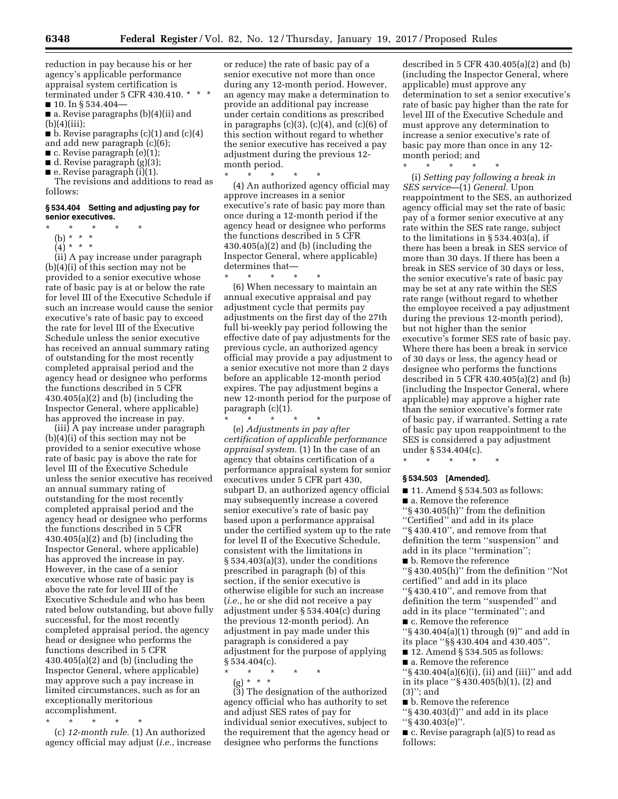reduction in pay because his or her agency's applicable performance appraisal system certification is terminated under 5 CFR 430.410. \*

■ 10. In § 534.404–

■ a. Revise paragraphs (b)(4)(ii) and  $(b)(4)(iii);$ 

 $\blacksquare$  b. Revise paragraphs (c)(1) and (c)(4) and add new paragraph (c)(6);

- $\blacksquare$  c. Revise paragraph (e)(1);
- d. Revise paragraph (g)(3);
- e. Revise paragraph (i)(1).

The revisions and additions to read as follows:

### **§ 534.404 Setting and adjusting pay for senior executives.**

- \* \* \* \* \*
- (b) \* \* \*
- $(4) * * * *$

(ii) A pay increase under paragraph (b)(4)(i) of this section may not be provided to a senior executive whose rate of basic pay is at or below the rate for level III of the Executive Schedule if such an increase would cause the senior executive's rate of basic pay to exceed the rate for level III of the Executive Schedule unless the senior executive has received an annual summary rating of outstanding for the most recently completed appraisal period and the agency head or designee who performs the functions described in 5 CFR 430.405(a)(2) and (b) (including the Inspector General, where applicable) has approved the increase in pay.

(iii) A pay increase under paragraph (b)(4)(i) of this section may not be provided to a senior executive whose rate of basic pay is above the rate for level III of the Executive Schedule unless the senior executive has received an annual summary rating of outstanding for the most recently completed appraisal period and the agency head or designee who performs the functions described in 5 CFR 430.405(a)(2) and (b) (including the Inspector General, where applicable) has approved the increase in pay. However, in the case of a senior executive whose rate of basic pay is above the rate for level III of the Executive Schedule and who has been rated below outstanding, but above fully successful, for the most recently completed appraisal period, the agency head or designee who performs the functions described in 5 CFR  $430.405(a)(2)$  and (b) (including the Inspector General, where applicable) may approve such a pay increase in limited circumstances, such as for an exceptionally meritorious accomplishment.

\* \* \* \* \*

(c) *12-month rule.* (1) An authorized agency official may adjust (*i.e.,* increase or reduce) the rate of basic pay of a senior executive not more than once during any 12-month period. However, an agency may make a determination to provide an additional pay increase under certain conditions as prescribed in paragraphs  $(c)(3)$ ,  $(c)(4)$ , and  $(c)(6)$  of this section without regard to whether the senior executive has received a pay adjustment during the previous 12 month period.

\* \* \* \* \*

(4) An authorized agency official may approve increases in a senior executive's rate of basic pay more than once during a 12-month period if the agency head or designee who performs the functions described in 5 CFR 430.405(a)(2) and (b) (including the Inspector General, where applicable) determines that—

\* \* \* \* \* (6) When necessary to maintain an annual executive appraisal and pay adjustment cycle that permits pay adjustments on the first day of the 27th full bi-weekly pay period following the effective date of pay adjustments for the previous cycle, an authorized agency official may provide a pay adjustment to a senior executive not more than 2 days before an applicable 12-month period expires. The pay adjustment begins a new 12-month period for the purpose of paragraph (c)(1).

\* \* \* \* \* (e) *Adjustments in pay after certification of applicable performance appraisal system.* (1) In the case of an agency that obtains certification of a performance appraisal system for senior executives under 5 CFR part 430, subpart D, an authorized agency official may subsequently increase a covered senior executive's rate of basic pay based upon a performance appraisal under the certified system up to the rate for level II of the Executive Schedule, consistent with the limitations in § 534.403(a)(3), under the conditions prescribed in paragraph (b) of this section, if the senior executive is otherwise eligible for such an increase (*i.e.,* he or she did not receive a pay adjustment under § 534.404(c) during the previous 12-month period). An adjustment in pay made under this paragraph is considered a pay adjustment for the purpose of applying § 534.404(c).

\* \* \* \* \*

(g) \* \* \*

(3) The designation of the authorized agency official who has authority to set and adjust SES rates of pay for individual senior executives, subject to the requirement that the agency head or designee who performs the functions

described in  $5$  CFR  $430.405(a)(2)$  and  $(b)$ (including the Inspector General, where applicable) must approve any determination to set a senior executive's rate of basic pay higher than the rate for level III of the Executive Schedule and must approve any determination to increase a senior executive's rate of basic pay more than once in any 12 month period; and  $*$ 

\* \* \* \* \*

(i) *Setting pay following a break in SES service*—(1) *General.* Upon reappointment to the SES, an authorized agency official may set the rate of basic pay of a former senior executive at any rate within the SES rate range, subject to the limitations in  $\S$  534.403(a), if there has been a break in SES service of more than 30 days. If there has been a break in SES service of 30 days or less, the senior executive's rate of basic pay may be set at any rate within the SES rate range (without regard to whether the employee received a pay adjustment during the previous 12-month period), but not higher than the senior executive's former SES rate of basic pay. Where there has been a break in service of 30 days or less, the agency head or designee who performs the functions described in 5 CFR 430.405(a)(2) and (b) (including the Inspector General, where applicable) may approve a higher rate than the senior executive's former rate of basic pay, if warranted. Setting a rate of basic pay upon reappointment to the SES is considered a pay adjustment under § 534.404(c).

\* \* \* \* \*

### **§ 534.503 [Amended].**

■ 11. Amend § 534.503 as follows: ■ a. Remove the reference ''§ 430.405(h)'' from the definition ''Certified'' and add in its place ''§ 430.410'', and remove from that definition the term ''suspension'' and add in its place ''termination''; ■ b. Remove the reference ''§ 430.405(h)'' from the definition ''Not certified'' and add in its place ''§ 430.410'', and remove from that definition the term ''suspended'' and add in its place ''terminated''; and ■ c. Remove the reference ''§ 430.404(a)(1) through (9)'' and add in its place ''§§ 430.404 and 430.405''.

■ 12. Amend § 534.505 as follows:

■ a. Remove the reference

''§ 430.404(a)(6)(i), (ii) and (iii)'' and add in its place ''§ 430.405(b)(1), (2) and (3)''; and

■ b. Remove the reference

''§ 430.403(d)'' and add in its place ''§ 430.403(e)''.

■ c. Revise paragraph (a)(5) to read as follows: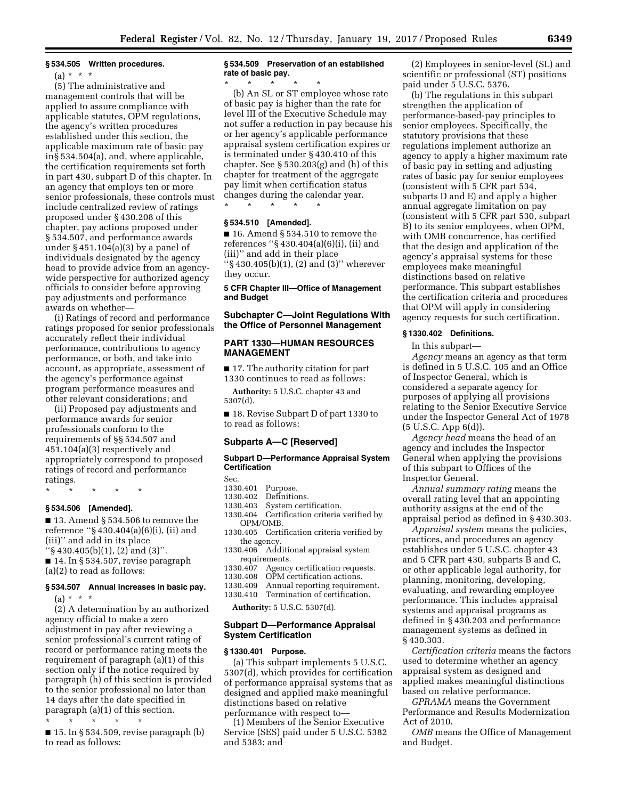# **§ 534.505 Written procedures.**

 $(a) * * * *$ 

(5) The administrative and management controls that will be applied to assure compliance with applicable statutes, OPM regulations, the agency's written procedures established under this section, the applicable maximum rate of basic pay in§ 534.504(a), and, where applicable, the certification requirements set forth in part 430, subpart D of this chapter. In an agency that employs ten or more senior professionals, these controls must include centralized review of ratings proposed under § 430.208 of this chapter, pay actions proposed under § 534.507, and performance awards under  $\S$  451.104(a)(3) by a panel of individuals designated by the agency head to provide advice from an agencywide perspective for authorized agency officials to consider before approving pay adjustments and performance awards on whether—

(i) Ratings of record and performance ratings proposed for senior professionals accurately reflect their individual performance, contributions to agency performance, or both, and take into account, as appropriate, assessment of the agency's performance against program performance measures and other relevant considerations; and

(ii) Proposed pay adjustments and performance awards for senior professionals conform to the requirements of §§ 534.507 and 451.104(a)(3) respectively and appropriately correspond to proposed ratings of record and performance ratings.

\* \* \* \* \*

### **§ 534.506 [Amended].**

■ 13. Amend § 534.506 to remove the reference ''§ 430.404(a)(6)(i), (ii) and (iii)'' and add in its place

''§ 430.405(b)(1), (2) and (3)''.

 $\blacksquare$  14. In § 534.507, revise paragraph (a)(2) to read as follows:

# **§ 534.507 Annual increases in basic pay.**

 $(a) * * * *$ 

(2) A determination by an authorized agency official to make a zero adjustment in pay after reviewing a senior professional's current rating of record or performance rating meets the requirement of paragraph (a)(1) of this section only if the notice required by paragraph (h) of this section is provided to the senior professional no later than 14 days after the date specified in paragraph (a)(1) of this section.

\* \* \* \* \*  $\blacksquare$  15. In § 534.509, revise paragraph (b) to read as follows:

# **§ 534.509 Preservation of an established rate of basic pay.**

\* \* \* \* \* (b) An SL or ST employee whose rate of basic pay is higher than the rate for level III of the Executive Schedule may not suffer a reduction in pay because his or her agency's applicable performance appraisal system certification expires or is terminated under § 430.410 of this chapter. See  $\S 530.203(g)$  and (h) of this chapter for treatment of the aggregate pay limit when certification status changes during the calendar year.

\* \* \* \* \*

### **§ 534.510 [Amended].**

■ 16. Amend § 534.510 to remove the references ''§ 430.404(a)(6)(i), (ii) and (iii)'' and add in their place ''§ 430.405(b)(1), (2) and (3)'' wherever they occur.

# **5 CFR Chapter III—Office of Management and Budget**

# **Subchapter C—Joint Regulations With the Office of Personnel Management**

# **PART 1330—HUMAN RESOURCES MANAGEMENT**

■ 17. The authority citation for part 1330 continues to read as follows:

**Authority:** 5 U.S.C. chapter 43 and 5307(d).

■ 18. Revise Subpart D of part 1330 to to read as follows:

## **Subparts A—C [Reserved]**

### **Subpart D—Performance Appraisal System Certification**

Sec.<br>1330.401

- 1330.401 Purpose.
- Definitions.
- 1330.403 System certification. Certification criteria verified by
- OPM/OMB. 1330.405 Certification criteria verified by
- the agency.
- 1330.406 Additional appraisal system requirements.<br>1330.407 Agency
- Agency certification requests.
- 1330.408 OPM certification actions.
- 1330.409 Annual reporting requirement.
- 1330.410 Termination of certification.

**Authority:** 5 U.S.C. 5307(d).

# **Subpart D—Performance Appraisal System Certification**

### **§ 1330.401 Purpose.**

(a) This subpart implements 5 U.S.C. 5307(d), which provides for certification of performance appraisal systems that as designed and applied make meaningful distinctions based on relative performance with respect to—

(1) Members of the Senior Executive Service (SES) paid under 5 U.S.C. 5382 and 5383; and

(2) Employees in senior-level (SL) and scientific or professional (ST) positions paid under 5 U.S.C. 5376.

(b) The regulations in this subpart strengthen the application of performance-based-pay principles to senior employees. Specifically, the statutory provisions that these regulations implement authorize an agency to apply a higher maximum rate of basic pay in setting and adjusting rates of basic pay for senior employees (consistent with 5 CFR part 534, subparts D and E) and apply a higher annual aggregate limitation on pay (consistent with 5 CFR part 530, subpart B) to its senior employees, when OPM, with OMB concurrence, has certified that the design and application of the agency's appraisal systems for these employees make meaningful distinctions based on relative performance. This subpart establishes the certification criteria and procedures that OPM will apply in considering agency requests for such certification.

# **§ 1330.402 Definitions.**

In this subpart—

*Agency* means an agency as that term is defined in 5 U.S.C. 105 and an Office of Inspector General, which is considered a separate agency for purposes of applying all provisions relating to the Senior Executive Service under the Inspector General Act of 1978 (5 U.S.C. App 6(d)).

*Agency head* means the head of an agency and includes the Inspector General when applying the provisions of this subpart to Offices of the Inspector General.

*Annual summary rating* means the overall rating level that an appointing authority assigns at the end of the appraisal period as defined in § 430.303.

*Appraisal system* means the policies, practices, and procedures an agency establishes under 5 U.S.C. chapter 43 and 5 CFR part 430, subparts B and C, or other applicable legal authority, for planning, monitoring, developing, evaluating, and rewarding employee performance. This includes appraisal systems and appraisal programs as defined in § 430.203 and performance management systems as defined in § 430.303.

*Certification criteria* means the factors used to determine whether an agency appraisal system as designed and applied makes meaningful distinctions based on relative performance.

*GPRAMA* means the Government Performance and Results Modernization Act of 2010.

*OMB* means the Office of Management and Budget.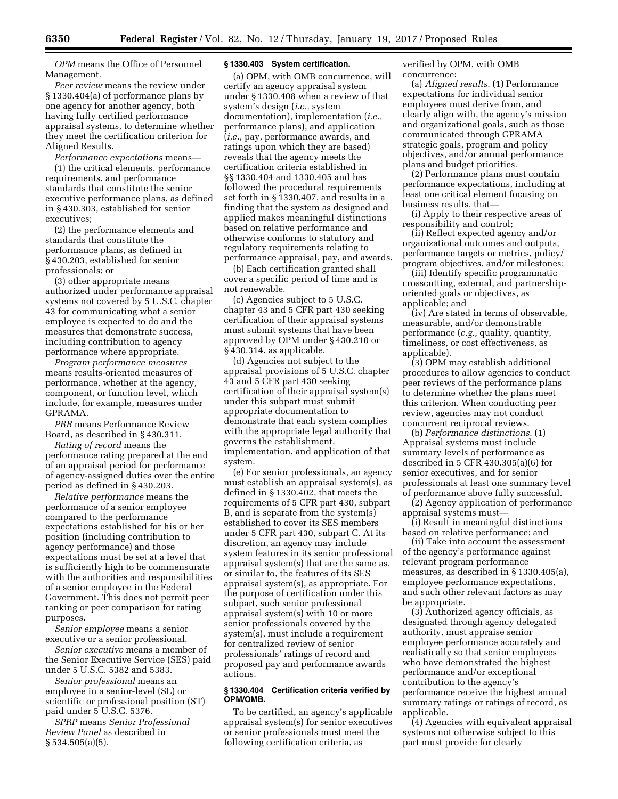*OPM* means the Office of Personnel Management.

*Peer review* means the review under § 1330.404(a) of performance plans by one agency for another agency, both having fully certified performance appraisal systems, to determine whether they meet the certification criterion for Aligned Results.

*Performance expectations* means—

(1) the critical elements, performance requirements, and performance standards that constitute the senior executive performance plans, as defined in § 430.303, established for senior executives;

(2) the performance elements and standards that constitute the performance plans, as defined in § 430.203, established for senior professionals; or

(3) other appropriate means authorized under performance appraisal systems not covered by 5 U.S.C. chapter 43 for communicating what a senior employee is expected to do and the measures that demonstrate success, including contribution to agency performance where appropriate.

*Program performance measures*  means results-oriented measures of performance, whether at the agency, component, or function level, which include, for example, measures under GPRAMA.

*PRB* means Performance Review Board, as described in § 430.311.

*Rating of record* means the performance rating prepared at the end of an appraisal period for performance of agency-assigned duties over the entire period as defined in § 430.203.

*Relative performance* means the performance of a senior employee compared to the performance expectations established for his or her position (including contribution to agency performance) and those expectations must be set at a level that is sufficiently high to be commensurate with the authorities and responsibilities of a senior employee in the Federal Government. This does not permit peer ranking or peer comparison for rating purposes.

*Senior employee* means a senior executive or a senior professional.

*Senior executive* means a member of the Senior Executive Service (SES) paid under 5 U.S.C. 5382 and 5383.

*Senior professional* means an employee in a senior-level (SL) or scientific or professional position (ST) paid under 5 U.S.C. 5376.

*SPRP* means *Senior Professional Review Panel* as described in § 534.505(a)(5).

# **§ 1330.403 System certification.**

(a) OPM, with OMB concurrence, will certify an agency appraisal system under § 1330.408 when a review of that system's design (*i.e.,* system documentation), implementation (*i.e.,*  performance plans), and application (*i.e.,* pay, performance awards, and ratings upon which they are based) reveals that the agency meets the certification criteria established in §§ 1330.404 and 1330.405 and has followed the procedural requirements set forth in § 1330.407, and results in a finding that the system as designed and applied makes meaningful distinctions based on relative performance and otherwise conforms to statutory and regulatory requirements relating to performance appraisal, pay, and awards.

(b) Each certification granted shall cover a specific period of time and is not renewable.

(c) Agencies subject to 5 U.S.C. chapter 43 and 5 CFR part 430 seeking certification of their appraisal systems must submit systems that have been approved by OPM under § 430.210 or § 430.314, as applicable.

(d) Agencies not subject to the appraisal provisions of 5 U.S.C. chapter 43 and 5 CFR part 430 seeking certification of their appraisal system(s) under this subpart must submit appropriate documentation to demonstrate that each system complies with the appropriate legal authority that governs the establishment, implementation, and application of that system.

(e) For senior professionals, an agency must establish an appraisal system(s), as defined in § 1330.402, that meets the requirements of 5 CFR part 430, subpart B, and is separate from the system(s) established to cover its SES members under 5 CFR part 430, subpart C. At its discretion, an agency may include system features in its senior professional appraisal system(s) that are the same as, or similar to, the features of its SES appraisal system(s), as appropriate. For the purpose of certification under this subpart, such senior professional appraisal system(s) with 10 or more senior professionals covered by the system(s), must include a requirement for centralized review of senior professionals' ratings of record and proposed pay and performance awards actions.

# **§ 1330.404 Certification criteria verified by OPM/OMB.**

To be certified, an agency's applicable appraisal system(s) for senior executives or senior professionals must meet the following certification criteria, as

verified by OPM, with OMB concurrence:

(a) *Aligned results.* (1) Performance expectations for individual senior employees must derive from, and clearly align with, the agency's mission and organizational goals, such as those communicated through GPRAMA strategic goals, program and policy objectives, and/or annual performance plans and budget priorities.

(2) Performance plans must contain performance expectations, including at least one critical element focusing on business results, that—

(i) Apply to their respective areas of responsibility and control;

(ii) Reflect expected agency and/or organizational outcomes and outputs, performance targets or metrics, policy/ program objectives, and/or milestones;

(iii) Identify specific programmatic crosscutting, external, and partnershiporiented goals or objectives, as applicable; and

(iv) Are stated in terms of observable, measurable, and/or demonstrable performance (*e.g.,* quality, quantity, timeliness, or cost effectiveness, as applicable).

(3) OPM may establish additional procedures to allow agencies to conduct peer reviews of the performance plans to determine whether the plans meet this criterion. When conducting peer review, agencies may not conduct concurrent reciprocal reviews.

(b) *Performance distinctions.* (1) Appraisal systems must include summary levels of performance as described in 5 CFR 430.305(a)(6) for senior executives, and for senior professionals at least one summary level of performance above fully successful.

(2) Agency application of performance appraisal systems must—

(i) Result in meaningful distinctions based on relative performance; and

(ii) Take into account the assessment of the agency's performance against relevant program performance measures, as described in § 1330.405(a), employee performance expectations, and such other relevant factors as may be appropriate.

(3) Authorized agency officials, as designated through agency delegated authority, must appraise senior employee performance accurately and realistically so that senior employees who have demonstrated the highest performance and/or exceptional contribution to the agency's performance receive the highest annual summary ratings or ratings of record, as applicable.

(4) Agencies with equivalent appraisal systems not otherwise subject to this part must provide for clearly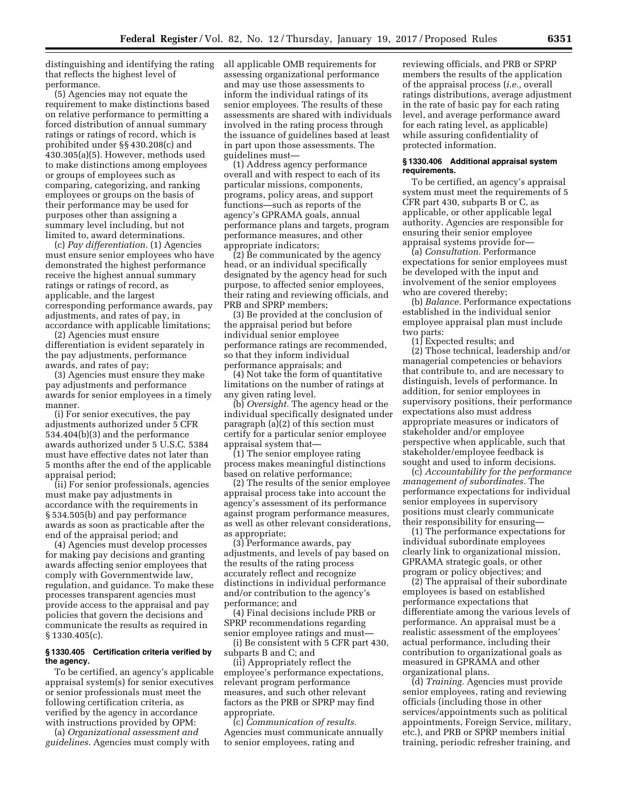distinguishing and identifying the rating that reflects the highest level of performance.

(5) Agencies may not equate the requirement to make distinctions based on relative performance to permitting a forced distribution of annual summary ratings or ratings of record, which is prohibited under §§ 430.208(c) and 430.305(a)(5). However, methods used to make distinctions among employees or groups of employees such as comparing, categorizing, and ranking employees or groups on the basis of their performance may be used for purposes other than assigning a summary level including, but not limited to, award determinations.

(c) *Pay differentiation.* (1) Agencies must ensure senior employees who have demonstrated the highest performance receive the highest annual summary ratings or ratings of record, as applicable, and the largest corresponding performance awards, pay adjustments, and rates of pay, in accordance with applicable limitations;

(2) Agencies must ensure differentiation is evident separately in the pay adjustments, performance awards, and rates of pay;

(3) Agencies must ensure they make pay adjustments and performance awards for senior employees in a timely manner.

(i) For senior executives, the pay adjustments authorized under 5 CFR 534.404(b)(3) and the performance awards authorized under 5 U.S.C. 5384 must have effective dates not later than 5 months after the end of the applicable appraisal period;

(ii) For senior professionals, agencies must make pay adjustments in accordance with the requirements in § 534.505(b) and pay performance awards as soon as practicable after the end of the appraisal period; and

(4) Agencies must develop processes for making pay decisions and granting awards affecting senior employees that comply with Governmentwide law, regulation, and guidance. To make these processes transparent agencies must provide access to the appraisal and pay policies that govern the decisions and communicate the results as required in § 1330.405(c).

### **§ 1330.405 Certification criteria verified by the agency.**

To be certified, an agency's applicable appraisal system(s) for senior executives or senior professionals must meet the following certification criteria, as verified by the agency in accordance with instructions provided by OPM:

(a) *Organizational assessment and guidelines.* Agencies must comply with all applicable OMB requirements for assessing organizational performance and may use those assessments to inform the individual ratings of its senior employees. The results of these assessments are shared with individuals involved in the rating process through the issuance of guidelines based at least in part upon those assessments. The guidelines must—

(1) Address agency performance overall and with respect to each of its particular missions, components, programs, policy areas, and support functions—such as reports of the agency's GPRAMA goals, annual performance plans and targets, program performance measures, and other appropriate indicators;

(2) Be communicated by the agency head, or an individual specifically designated by the agency head for such purpose, to affected senior employees, their rating and reviewing officials, and PRB and SPRP members;

(3) Be provided at the conclusion of the appraisal period but before individual senior employee performance ratings are recommended, so that they inform individual performance appraisals; and

(4) Not take the form of quantitative limitations on the number of ratings at any given rating level.

(b) *Oversight.* The agency head or the individual specifically designated under paragraph (a)(2) of this section must certify for a particular senior employee appraisal system that—

(1) The senior employee rating process makes meaningful distinctions based on relative performance;

(2) The results of the senior employee appraisal process take into account the agency's assessment of its performance against program performance measures, as well as other relevant considerations, as appropriate;

(3) Performance awards, pay adjustments, and levels of pay based on the results of the rating process accurately reflect and recognize distinctions in individual performance and/or contribution to the agency's performance; and

(4) Final decisions include PRB or SPRP recommendations regarding senior employee ratings and must—

(i) Be consistent with 5 CFR part 430, subparts B and C; and

(ii) Appropriately reflect the employee's performance expectations, relevant program performance measures, and such other relevant factors as the PRB or SPRP may find appropriate.

(c) *Communication of results.*  Agencies must communicate annually to senior employees, rating and

reviewing officials, and PRB or SPRP members the results of the application of the appraisal process (*i.e.,* overall ratings distributions, average adjustment in the rate of basic pay for each rating level, and average performance award for each rating level, as applicable) while assuring confidentiality of protected information.

### **§ 1330.406 Additional appraisal system requirements.**

To be certified, an agency's appraisal system must meet the requirements of 5 CFR part 430, subparts B or C, as applicable, or other applicable legal authority. Agencies are responsible for ensuring their senior employee appraisal systems provide for—

(a) *Consultation.* Performance expectations for senior employees must be developed with the input and involvement of the senior employees who are covered thereby;

(b) *Balance.* Performance expectations established in the individual senior employee appraisal plan must include two parts:

(1) Expected results; and

(2) Those technical, leadership and/or managerial competencies or behaviors that contribute to, and are necessary to distinguish, levels of performance. In addition, for senior employees in supervisory positions, their performance expectations also must address appropriate measures or indicators of stakeholder and/or employee perspective when applicable, such that stakeholder/employee feedback is sought and used to inform decisions.

(c) *Accountability for the performance management of subordinates.* The performance expectations for individual senior employees in supervisory positions must clearly communicate their responsibility for ensuring—

(1) The performance expectations for individual subordinate employees clearly link to organizational mission, GPRAMA strategic goals, or other program or policy objectives; and

(2) The appraisal of their subordinate employees is based on established performance expectations that differentiate among the various levels of performance. An appraisal must be a realistic assessment of the employees' actual performance, including their contribution to organizational goals as measured in GPRAMA and other organizational plans.

(d) *Training.* Agencies must provide senior employees, rating and reviewing officials (including those in other services/appointments such as political appointments, Foreign Service, military, etc.), and PRB or SPRP members initial training, periodic refresher training, and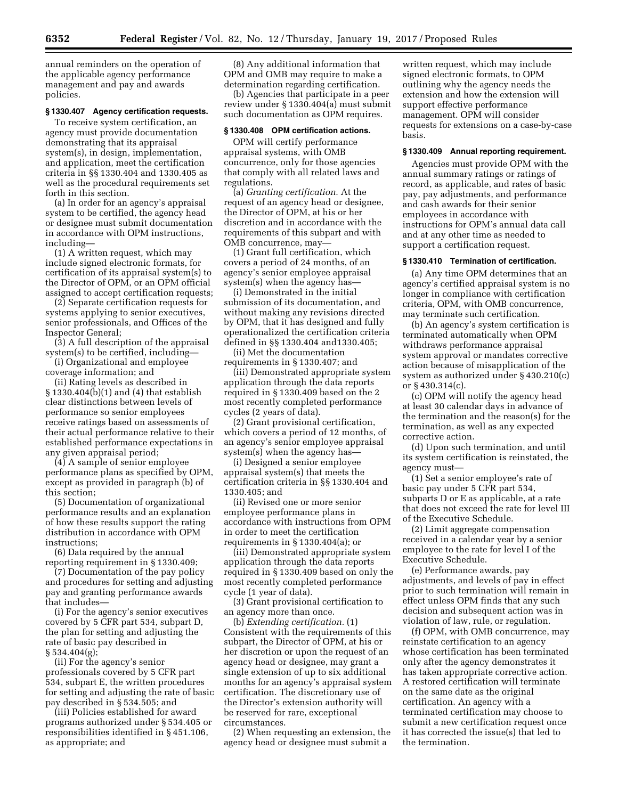annual reminders on the operation of the applicable agency performance management and pay and awards policies.

### **§ 1330.407 Agency certification requests.**

To receive system certification, an agency must provide documentation demonstrating that its appraisal system(s), in design, implementation, and application, meet the certification criteria in §§ 1330.404 and 1330.405 as well as the procedural requirements set forth in this section.

(a) In order for an agency's appraisal system to be certified, the agency head or designee must submit documentation in accordance with OPM instructions, including—

(1) A written request, which may include signed electronic formats, for certification of its appraisal system(s) to the Director of OPM, or an OPM official assigned to accept certification requests;

(2) Separate certification requests for systems applying to senior executives, senior professionals, and Offices of the Inspector General;

(3) A full description of the appraisal system(s) to be certified, including—

(i) Organizational and employee coverage information; and

(ii) Rating levels as described in  $§ 1330.404(b)(1)$  and (4) that establish clear distinctions between levels of performance so senior employees receive ratings based on assessments of their actual performance relative to their established performance expectations in any given appraisal period;

(4) A sample of senior employee performance plans as specified by OPM, except as provided in paragraph (b) of this section;

(5) Documentation of organizational performance results and an explanation of how these results support the rating distribution in accordance with OPM instructions;

(6) Data required by the annual reporting requirement in § 1330.409;

(7) Documentation of the pay policy and procedures for setting and adjusting pay and granting performance awards that includes—

(i) For the agency's senior executives covered by 5 CFR part 534, subpart D, the plan for setting and adjusting the rate of basic pay described in  $§ 534.404(g);$ 

(ii) For the agency's senior professionals covered by 5 CFR part 534, subpart E, the written procedures for setting and adjusting the rate of basic pay described in § 534.505; and

(iii) Policies established for award programs authorized under § 534.405 or responsibilities identified in § 451.106, as appropriate; and

(8) Any additional information that OPM and OMB may require to make a determination regarding certification.

(b) Agencies that participate in a peer review under § 1330.404(a) must submit such documentation as OPM requires.

# **§ 1330.408 OPM certification actions.**

OPM will certify performance appraisal systems, with OMB concurrence, only for those agencies that comply with all related laws and regulations.

(a) *Granting certification.* At the request of an agency head or designee, the Director of OPM, at his or her discretion and in accordance with the requirements of this subpart and with OMB concurrence, may—

(1) Grant full certification, which covers a period of 24 months, of an agency's senior employee appraisal system(s) when the agency has—

(i) Demonstrated in the initial submission of its documentation, and without making any revisions directed by OPM, that it has designed and fully operationalized the certification criteria defined in §§ 1330.404 and1330.405;

(ii) Met the documentation requirements in § 1330.407; and

(iii) Demonstrated appropriate system application through the data reports required in § 1330.409 based on the 2 most recently completed performance cycles (2 years of data).

(2) Grant provisional certification, which covers a period of 12 months, of an agency's senior employee appraisal system(s) when the agency has—

(i) Designed a senior employee appraisal system(s) that meets the certification criteria in §§ 1330.404 and 1330.405; and

(ii) Revised one or more senior employee performance plans in accordance with instructions from OPM in order to meet the certification requirements in § 1330.404(a); or

(iii) Demonstrated appropriate system application through the data reports required in § 1330.409 based on only the most recently completed performance cycle (1 year of data).

(3) Grant provisional certification to an agency more than once.

(b) *Extending certification.* (1) Consistent with the requirements of this subpart, the Director of OPM, at his or her discretion or upon the request of an agency head or designee, may grant a single extension of up to six additional months for an agency's appraisal system certification. The discretionary use of the Director's extension authority will be reserved for rare, exceptional circumstances.

(2) When requesting an extension, the agency head or designee must submit a

written request, which may include signed electronic formats, to OPM outlining why the agency needs the extension and how the extension will support effective performance management. OPM will consider requests for extensions on a case-by-case basis.

## **§ 1330.409 Annual reporting requirement.**

Agencies must provide OPM with the annual summary ratings or ratings of record, as applicable, and rates of basic pay, pay adjustments, and performance and cash awards for their senior employees in accordance with instructions for OPM's annual data call and at any other time as needed to support a certification request.

## **§ 1330.410 Termination of certification.**

(a) Any time OPM determines that an agency's certified appraisal system is no longer in compliance with certification criteria, OPM, with OMB concurrence, may terminate such certification.

(b) An agency's system certification is terminated automatically when OPM withdraws performance appraisal system approval or mandates corrective action because of misapplication of the system as authorized under § 430.210(c) or § 430.314(c).

(c) OPM will notify the agency head at least 30 calendar days in advance of the termination and the reason(s) for the termination, as well as any expected corrective action.

(d) Upon such termination, and until its system certification is reinstated, the agency must—

(1) Set a senior employee's rate of basic pay under 5 CFR part 534, subparts D or E as applicable, at a rate that does not exceed the rate for level III of the Executive Schedule.

(2) Limit aggregate compensation received in a calendar year by a senior employee to the rate for level I of the Executive Schedule.

(e) Performance awards, pay adjustments, and levels of pay in effect prior to such termination will remain in effect unless OPM finds that any such decision and subsequent action was in violation of law, rule, or regulation.

(f) OPM, with OMB concurrence, may reinstate certification to an agency whose certification has been terminated only after the agency demonstrates it has taken appropriate corrective action. A restored certification will terminate on the same date as the original certification. An agency with a terminated certification may choose to submit a new certification request once it has corrected the issue(s) that led to the termination.